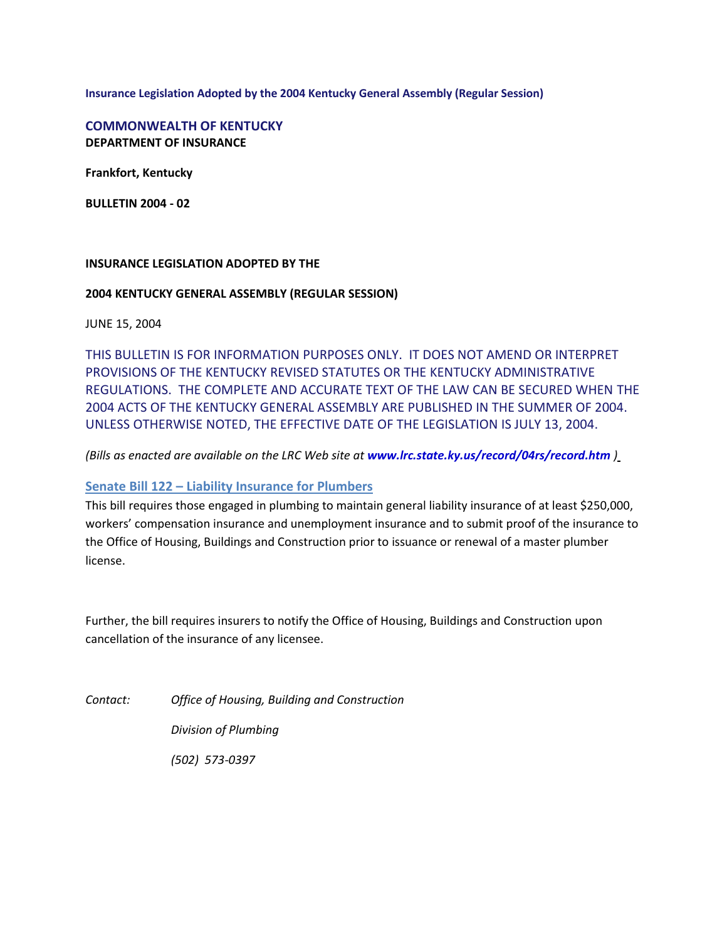**Insurance Legislation Adopted by the 2004 Kentucky General Assembly (Regular Session)** 

**COMMONWEALTH OF KENTUCKY DEPARTMENT OF INSURANCE**

**Frankfort, Kentucky**

**BULLETIN 2004 - 02**

#### **INSURANCE LEGISLATION ADOPTED BY THE**

#### **2004 KENTUCKY GENERAL ASSEMBLY (REGULAR SESSION)**

JUNE 15, 2004

THIS BULLETIN IS FOR INFORMATION PURPOSES ONLY. IT DOES NOT AMEND OR INTERPRET PROVISIONS OF THE KENTUCKY REVISED STATUTES OR THE KENTUCKY ADMINISTRATIVE REGULATIONS. THE COMPLETE AND ACCURATE TEXT OF THE LAW CAN BE SECURED WHEN THE 2004 ACTS OF THE KENTUCKY GENERAL ASSEMBLY ARE PUBLISHED IN THE SUMMER OF 2004. UNLESS OTHERWISE NOTED, THE EFFECTIVE DATE OF THE LEGISLATION IS JULY 13, 2004.

*(Bills as enacted are available on the LRC Web site at [www.lrc.state.ky.us/record/04rs/record.htm](http://www.lrc.state.ky.us/record/04rs/record.htm) )*

#### **Senate Bill 122 – Liability Insurance for Plumbers**

This bill requires those engaged in plumbing to maintain general liability insurance of at least \$250,000, workers' compensation insurance and unemployment insurance and to submit proof of the insurance to the Office of Housing, Buildings and Construction prior to issuance or renewal of a master plumber license.

Further, the bill requires insurers to notify the Office of Housing, Buildings and Construction upon cancellation of the insurance of any licensee.

*Contact: Office of Housing, Building and Construction*

*Division of Plumbing*

*(502) 573-0397*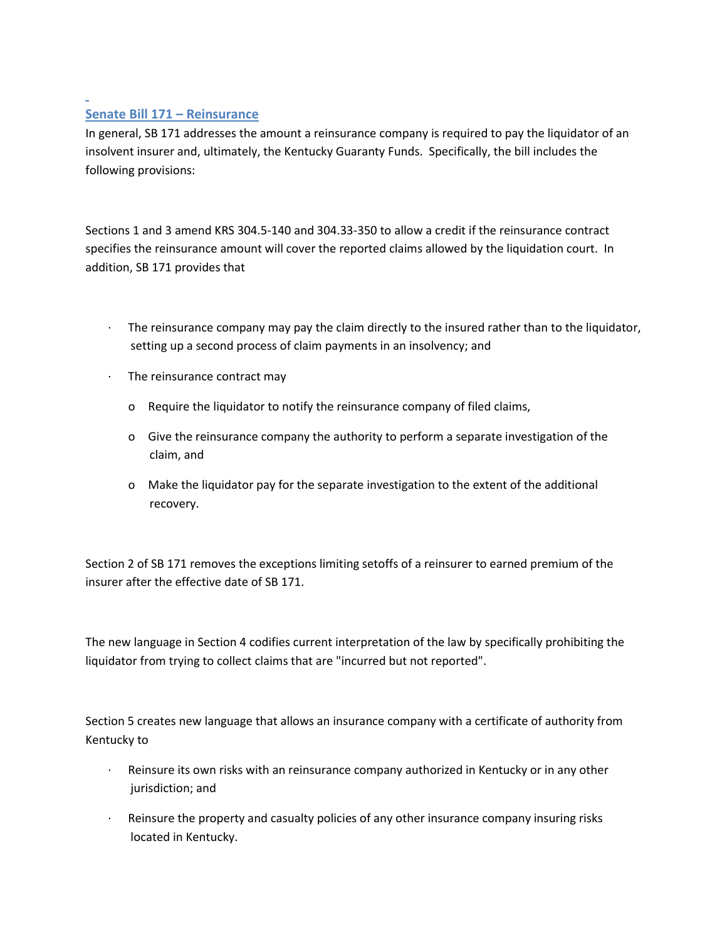## **Senate Bill 171 – Reinsurance**

In general, SB 171 addresses the amount a reinsurance company is required to pay the liquidator of an insolvent insurer and, ultimately, the Kentucky Guaranty Funds. Specifically, the bill includes the following provisions:

Sections 1 and 3 amend KRS 304.5-140 and 304.33-350 to allow a credit if the reinsurance contract specifies the reinsurance amount will cover the reported claims allowed by the liquidation court. In addition, SB 171 provides that

- · The reinsurance company may pay the claim directly to the insured rather than to the liquidator, setting up a second process of claim payments in an insolvency; and
- · The reinsurance contract may
	- o Require the liquidator to notify the reinsurance company of filed claims,
	- o Give the reinsurance company the authority to perform a separate investigation of the claim, and
	- o Make the liquidator pay for the separate investigation to the extent of the additional recovery.

Section 2 of SB 171 removes the exceptions limiting setoffs of a reinsurer to earned premium of the insurer after the effective date of SB 171.

The new language in Section 4 codifies current interpretation of the law by specifically prohibiting the liquidator from trying to collect claims that are "incurred but not reported".

Section 5 creates new language that allows an insurance company with a certificate of authority from Kentucky to

- · Reinsure its own risks with an reinsurance company authorized in Kentucky or in any other jurisdiction; and
- Reinsure the property and casualty policies of any other insurance company insuring risks located in Kentucky.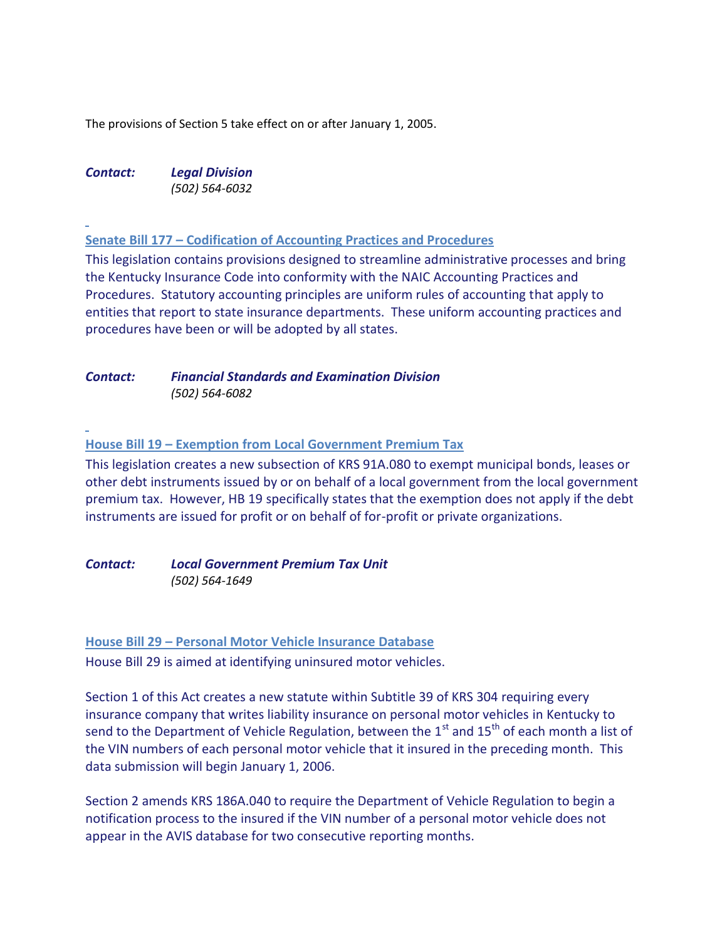The provisions of Section 5 take effect on or after January 1, 2005.

*Contact: Legal Division (502) 564-6032*

**Senate Bill 177 – Codification of Accounting Practices and Procedures**

This legislation contains provisions designed to streamline administrative processes and bring the Kentucky Insurance Code into conformity with the NAIC Accounting Practices and Procedures. Statutory accounting principles are uniform rules of accounting that apply to entities that report to state insurance departments. These uniform accounting practices and procedures have been or will be adopted by all states.

## *Contact: Financial Standards and Examination Division (502) 564-6082*

**House Bill 19 – Exemption from Local Government Premium Tax**

This legislation creates a new subsection of KRS 91A.080 to exempt municipal bonds, leases or other debt instruments issued by or on behalf of a local government from the local government premium tax. However, HB 19 specifically states that the exemption does not apply if the debt instruments are issued for profit or on behalf of for-profit or private organizations.

*Contact: Local Government Premium Tax Unit (502) 564-1649*

**House Bill 29 – Personal Motor Vehicle Insurance Database**

House Bill 29 is aimed at identifying uninsured motor vehicles.

Section 1 of this Act creates a new statute within Subtitle 39 of KRS 304 requiring every insurance company that writes liability insurance on personal motor vehicles in Kentucky to send to the Department of Vehicle Regulation, between the  $1<sup>st</sup>$  and  $15<sup>th</sup>$  of each month a list of the VIN numbers of each personal motor vehicle that it insured in the preceding month. This data submission will begin January 1, 2006.

Section 2 amends KRS 186A.040 to require the Department of Vehicle Regulation to begin a notification process to the insured if the VIN number of a personal motor vehicle does not appear in the AVIS database for two consecutive reporting months.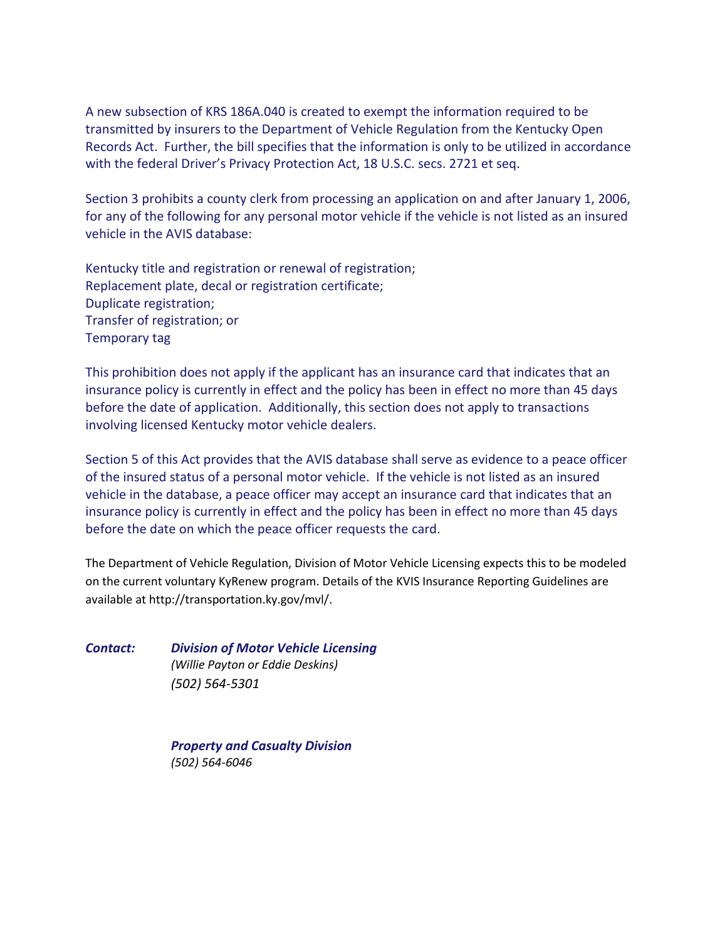A new subsection of KRS 186A.040 is created to exempt the information required to be transmitted by insurers to the Department of Vehicle Regulation from the Kentucky Open Records Act. Further, the bill specifies that the information is only to be utilized in accordance with the federal Driver's Privacy Protection Act, 18 U.S.C. secs. 2721 et seq.

Section 3 prohibits a county clerk from processing an application on and after January 1, 2006, for any of the following for any personal motor vehicle if the vehicle is not listed as an insured vehicle in the AVIS database:

Kentucky title and registration or renewal of registration; Replacement plate, decal or registration certificate; Duplicate registration; Transfer of registration; or Temporary tag

This prohibition does not apply if the applicant has an insurance card that indicates that an insurance policy is currently in effect and the policy has been in effect no more than 45 days before the date of application. Additionally, this section does not apply to transactions involving licensed Kentucky motor vehicle dealers.

Section 5 of this Act provides that the AVIS database shall serve as evidence to a peace officer of the insured status of a personal motor vehicle. If the vehicle is not listed as an insured vehicle in the database, a peace officer may accept an insurance card that indicates that an insurance policy is currently in effect and the policy has been in effect no more than 45 days before the date on which the peace officer requests the card.

The Department of Vehicle Regulation, Division of Motor Vehicle Licensing expects this to be modeled on the current voluntary KyRenew program. Details of the KVIS Insurance Reporting Guidelines are available at http://transportation.ky.gov/mvl/.

*Contact: Division of Motor Vehicle Licensing (Willie Payton or Eddie Deskins) (502) 564-5301*

> *Property and Casualty Division (502) 564-6046*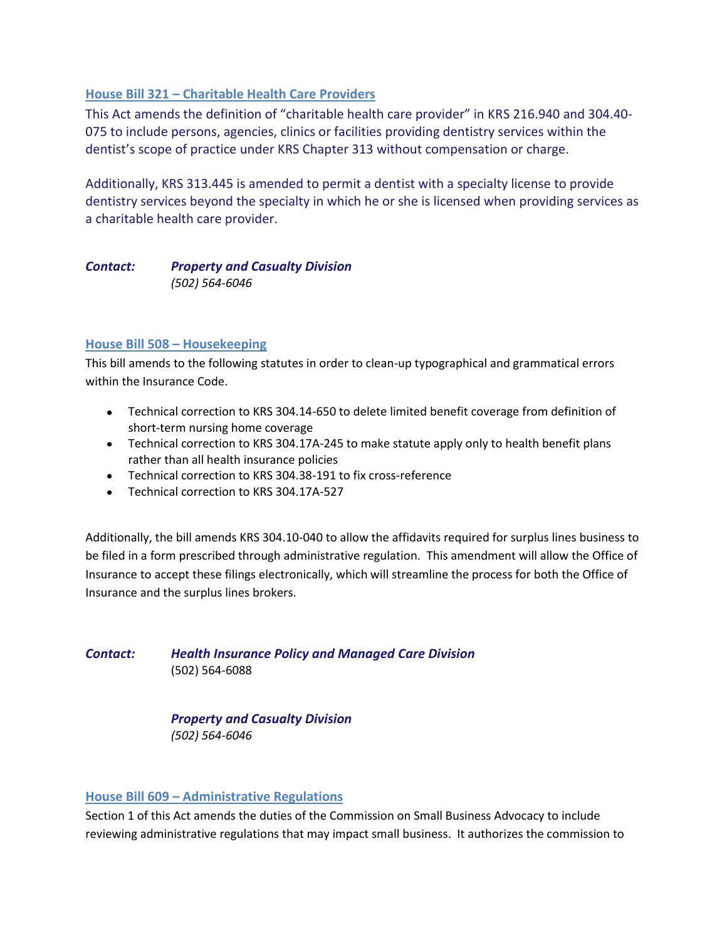# **House Bill 321 – Charitable Health Care Providers**

This Act amends the definition of "charitable health care provider" in KRS 216.940 and 304.40- 075 to include persons, agencies, clinics or facilities providing dentistry services within the dentist's scope of practice under KRS Chapter 313 without compensation or charge.

Additionally, KRS 313.445 is amended to permit a dentist with a specialty license to provide dentistry services beyond the specialty in which he or she is licensed when providing services as a charitable health care provider.

# *Contact: Property and Casualty Division (502) 564-6046*

#### **House Bill 508 – Housekeeping**

This bill amends to the following statutes in order to clean-up typographical and grammatical errors within the Insurance Code.

- Technical correction to KRS 304.14-650 to delete limited benefit coverage from definition of short-term nursing home coverage
- Technical correction to KRS 304.17A-245 to make statute apply only to health benefit plans rather than all health insurance policies
- Technical correction to KRS 304.38-191 to fix cross-reference
- Technical correction to KRS 304.17A-527

Additionally, the bill amends KRS 304.10-040 to allow the affidavits required for surplus lines business to be filed in a form prescribed through administrative regulation. This amendment will allow the Office of Insurance to accept these filings electronically, which will streamline the process for both the Office of Insurance and the surplus lines brokers.

*Contact: Health Insurance Policy and Managed Care Division* (502) 564-6088

> *Property and Casualty Division (502) 564-6046*

#### **House Bill 609 – Administrative Regulations**

Section 1 of this Act amends the duties of the Commission on Small Business Advocacy to include reviewing administrative regulations that may impact small business. It authorizes the commission to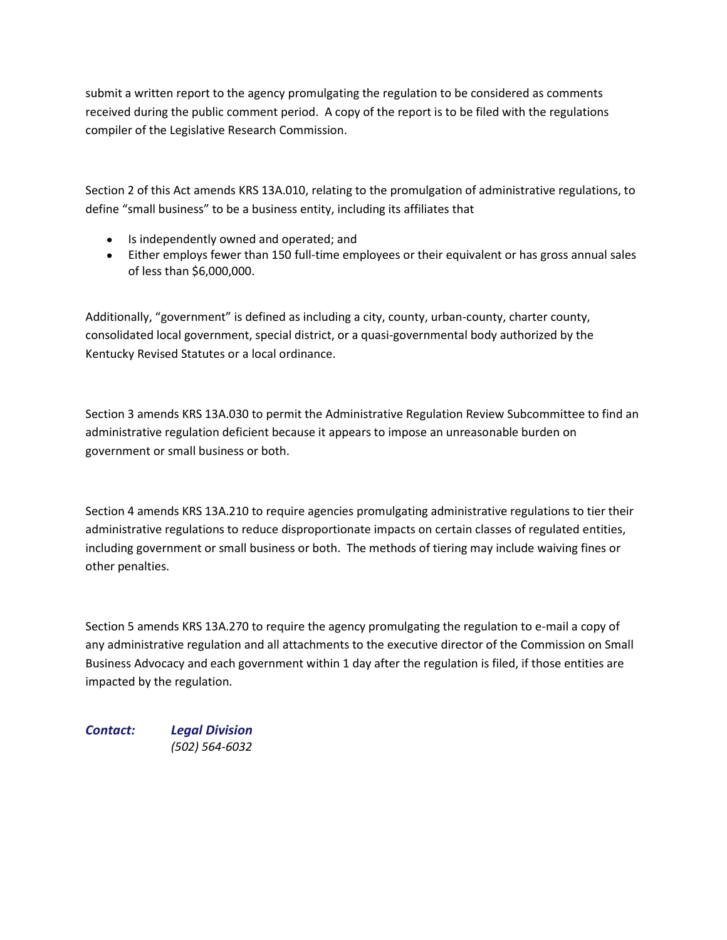submit a written report to the agency promulgating the regulation to be considered as comments received during the public comment period. A copy of the report is to be filed with the regulations compiler of the Legislative Research Commission.

Section 2 of this Act amends KRS 13A.010, relating to the promulgation of administrative regulations, to define "small business" to be a business entity, including its affiliates that

- Is independently owned and operated; and
- Either employs fewer than 150 full-time employees or their equivalent or has gross annual sales of less than \$6,000,000.

Additionally, "government" is defined as including a city, county, urban-county, charter county, consolidated local government, special district, or a quasi-governmental body authorized by the Kentucky Revised Statutes or a local ordinance.

Section 3 amends KRS 13A.030 to permit the Administrative Regulation Review Subcommittee to find an administrative regulation deficient because it appears to impose an unreasonable burden on government or small business or both.

Section 4 amends KRS 13A.210 to require agencies promulgating administrative regulations to tier their administrative regulations to reduce disproportionate impacts on certain classes of regulated entities, including government or small business or both. The methods of tiering may include waiving fines or other penalties.

Section 5 amends KRS 13A.270 to require the agency promulgating the regulation to e-mail a copy of any administrative regulation and all attachments to the executive director of the Commission on Small Business Advocacy and each government within 1 day after the regulation is filed, if those entities are impacted by the regulation.

*Contact: Legal Division (502) 564-6032*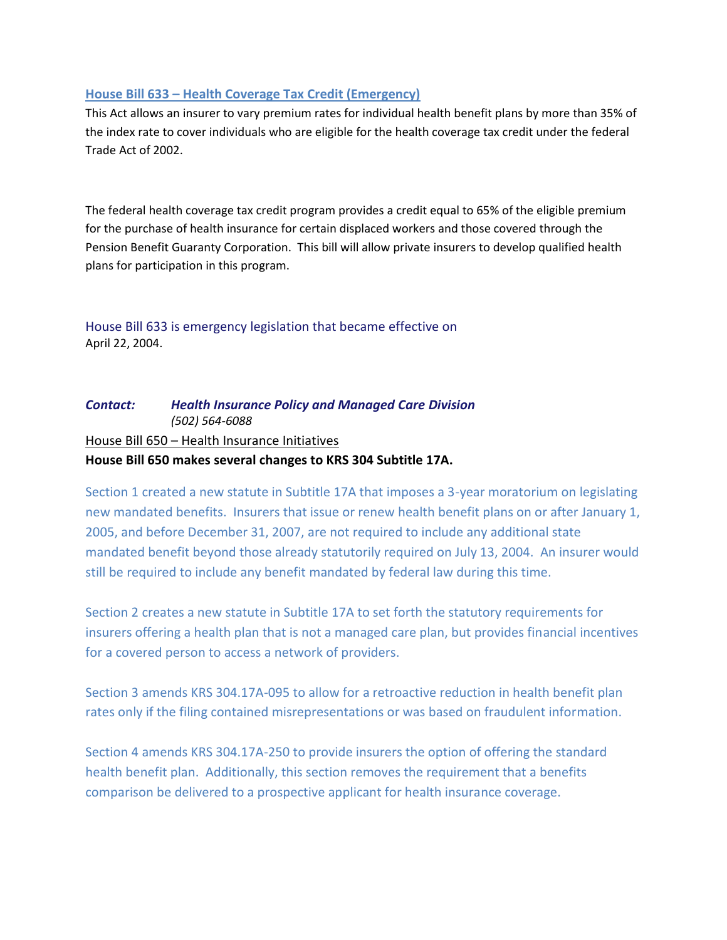## **House Bill 633 – Health Coverage Tax Credit (Emergency)**

This Act allows an insurer to vary premium rates for individual health benefit plans by more than 35% of the index rate to cover individuals who are eligible for the health coverage tax credit under the federal Trade Act of 2002.

The federal health coverage tax credit program provides a credit equal to 65% of the eligible premium for the purchase of health insurance for certain displaced workers and those covered through the Pension Benefit Guaranty Corporation. This bill will allow private insurers to develop qualified health plans for participation in this program.

House Bill 633 is emergency legislation that became effective on April 22, 2004.

# *Contact: Health Insurance Policy and Managed Care Division (502) 564-6088* House Bill 650 – Health Insurance Initiatives **House Bill 650 makes several changes to KRS 304 Subtitle 17A.**

Section 1 created a new statute in Subtitle 17A that imposes a 3-year moratorium on legislating new mandated benefits. Insurers that issue or renew health benefit plans on or after January 1, 2005, and before December 31, 2007, are not required to include any additional state mandated benefit beyond those already statutorily required on July 13, 2004. An insurer would still be required to include any benefit mandated by federal law during this time.

Section 2 creates a new statute in Subtitle 17A to set forth the statutory requirements for insurers offering a health plan that is not a managed care plan, but provides financial incentives for a covered person to access a network of providers.

Section 3 amends KRS 304.17A-095 to allow for a retroactive reduction in health benefit plan rates only if the filing contained misrepresentations or was based on fraudulent information.

Section 4 amends KRS 304.17A-250 to provide insurers the option of offering the standard health benefit plan. Additionally, this section removes the requirement that a benefits comparison be delivered to a prospective applicant for health insurance coverage.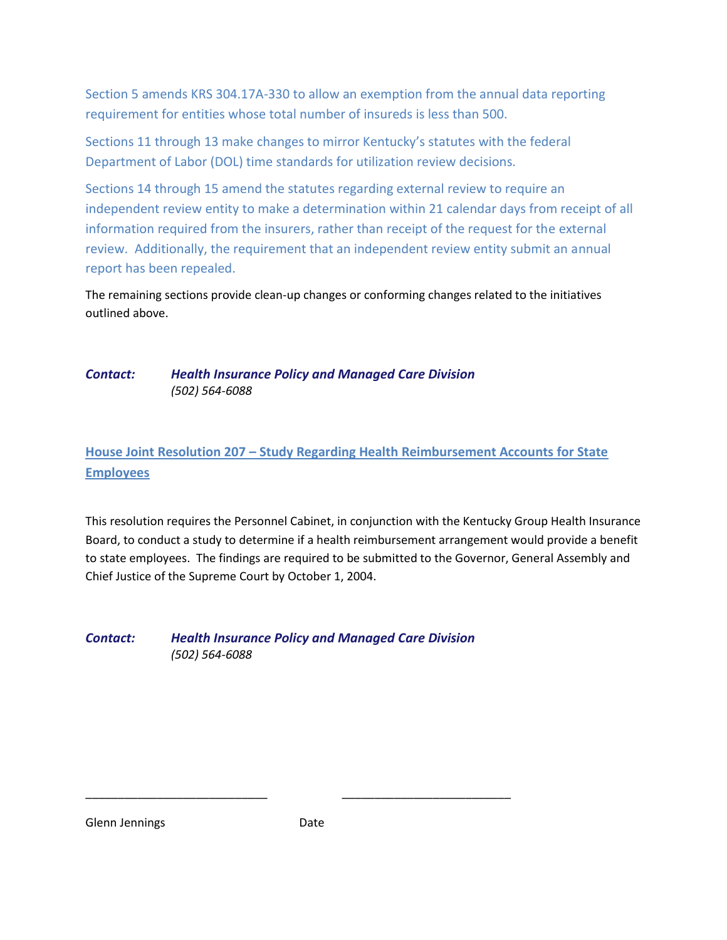Section 5 amends KRS 304.17A-330 to allow an exemption from the annual data reporting requirement for entities whose total number of insureds is less than 500.

Sections 11 through 13 make changes to mirror Kentucky's statutes with the federal Department of Labor (DOL) time standards for utilization review decisions.

Sections 14 through 15 amend the statutes regarding external review to require an independent review entity to make a determination within 21 calendar days from receipt of all information required from the insurers, rather than receipt of the request for the external review. Additionally, the requirement that an independent review entity submit an annual report has been repealed.

The remaining sections provide clean-up changes or conforming changes related to the initiatives outlined above.

# *Contact: Health Insurance Policy and Managed Care Division (502) 564-6088*

# **House Joint Resolution 207 – Study Regarding Health Reimbursement Accounts for State Employees**

This resolution requires the Personnel Cabinet, in conjunction with the Kentucky Group Health Insurance Board, to conduct a study to determine if a health reimbursement arrangement would provide a benefit to state employees. The findings are required to be submitted to the Governor, General Assembly and Chief Justice of the Supreme Court by October 1, 2004.

*Contact: Health Insurance Policy and Managed Care Division (502) 564-6088*

Glenn Jennings **Date** 

\_\_\_\_\_\_\_\_\_\_\_\_\_\_\_\_\_\_\_\_\_\_\_\_\_\_\_\_ \_\_\_\_\_\_\_\_\_\_\_\_\_\_\_\_\_\_\_\_\_\_\_\_\_\_